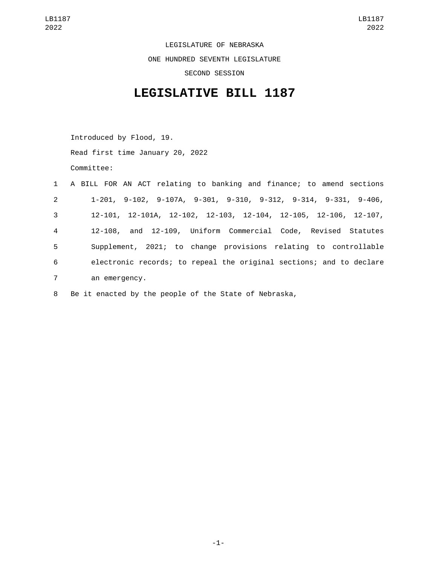LEGISLATURE OF NEBRASKA ONE HUNDRED SEVENTH LEGISLATURE SECOND SESSION

## **LEGISLATIVE BILL 1187**

Introduced by Flood, 19. Read first time January 20, 2022 Committee:

|                | 1 A BILL FOR AN ACT relating to banking and finance; to amend sections                     |
|----------------|--------------------------------------------------------------------------------------------|
| $2^{\circ}$    | $1-201$ , $9-102$ , $9-107A$ , $9-301$ , $9-310$ , $9-312$ , $9-314$ , $9-331$ , $9-406$ , |
| 3              | 12-101, 12-101A, 12-102, 12-103, 12-104, 12-105, 12-106, 12-107,                           |
| $\overline{4}$ | 12-108, and 12-109, Uniform Commercial Code, Revised Statutes                              |
| 5              | Supplement, 2021; to change provisions relating to controllable                            |
| 6              | electronic records; to repeal the original sections; and to declare                        |
| $7^{\circ}$    | an emergency.                                                                              |
|                |                                                                                            |

8 Be it enacted by the people of the State of Nebraska,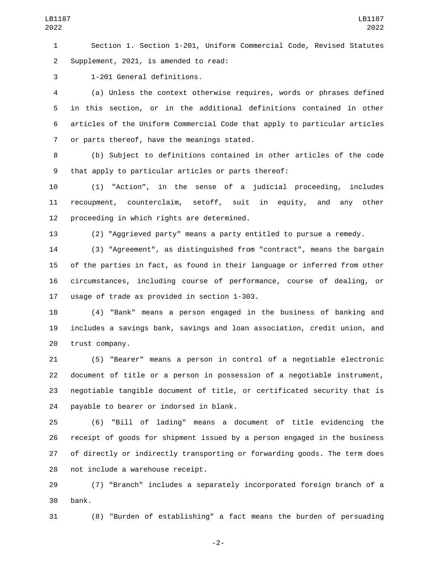Section 1. Section 1-201, Uniform Commercial Code, Revised Statutes 2 Supplement, 2021, is amended to read:

1-201 General definitions.3

 (a) Unless the context otherwise requires, words or phrases defined in this section, or in the additional definitions contained in other articles of the Uniform Commercial Code that apply to particular articles 7 or parts thereof, have the meanings stated.

 (b) Subject to definitions contained in other articles of the code that apply to particular articles or parts thereof:

 (1) "Action", in the sense of a judicial proceeding, includes recoupment, counterclaim, setoff, suit in equity, and any other 12 proceeding in which rights are determined.

(2) "Aggrieved party" means a party entitled to pursue a remedy.

 (3) "Agreement", as distinguished from "contract", means the bargain of the parties in fact, as found in their language or inferred from other circumstances, including course of performance, course of dealing, or 17 usage of trade as provided in section  $1-303$ .

 (4) "Bank" means a person engaged in the business of banking and includes a savings bank, savings and loan association, credit union, and 20 trust company.

 (5) "Bearer" means a person in control of a negotiable electronic document of title or a person in possession of a negotiable instrument, negotiable tangible document of title, or certificated security that is 24 payable to bearer or indorsed in blank.

 (6) "Bill of lading" means a document of title evidencing the receipt of goods for shipment issued by a person engaged in the business of directly or indirectly transporting or forwarding goods. The term does 28 not include a warehouse receipt.

 (7) "Branch" includes a separately incorporated foreign branch of a 30 bank.

(8) "Burden of establishing" a fact means the burden of persuading

-2-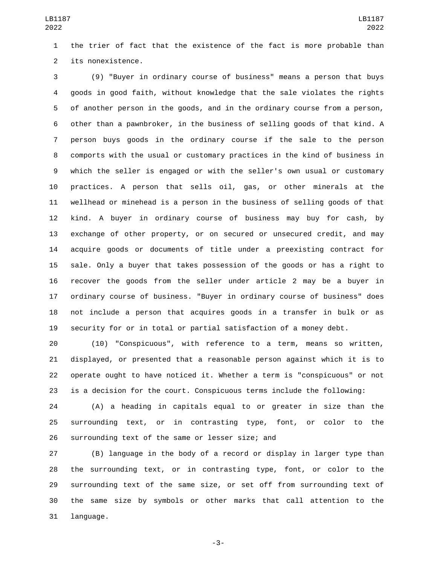the trier of fact that the existence of the fact is more probable than 2 its nonexistence.

 (9) "Buyer in ordinary course of business" means a person that buys goods in good faith, without knowledge that the sale violates the rights of another person in the goods, and in the ordinary course from a person, other than a pawnbroker, in the business of selling goods of that kind. A person buys goods in the ordinary course if the sale to the person comports with the usual or customary practices in the kind of business in which the seller is engaged or with the seller's own usual or customary practices. A person that sells oil, gas, or other minerals at the wellhead or minehead is a person in the business of selling goods of that kind. A buyer in ordinary course of business may buy for cash, by exchange of other property, or on secured or unsecured credit, and may acquire goods or documents of title under a preexisting contract for sale. Only a buyer that takes possession of the goods or has a right to recover the goods from the seller under article 2 may be a buyer in ordinary course of business. "Buyer in ordinary course of business" does not include a person that acquires goods in a transfer in bulk or as security for or in total or partial satisfaction of a money debt.

 (10) "Conspicuous", with reference to a term, means so written, displayed, or presented that a reasonable person against which it is to operate ought to have noticed it. Whether a term is "conspicuous" or not is a decision for the court. Conspicuous terms include the following:

 (A) a heading in capitals equal to or greater in size than the surrounding text, or in contrasting type, font, or color to the 26 surrounding text of the same or lesser size; and

 (B) language in the body of a record or display in larger type than the surrounding text, or in contrasting type, font, or color to the surrounding text of the same size, or set off from surrounding text of the same size by symbols or other marks that call attention to the 31 language.

-3-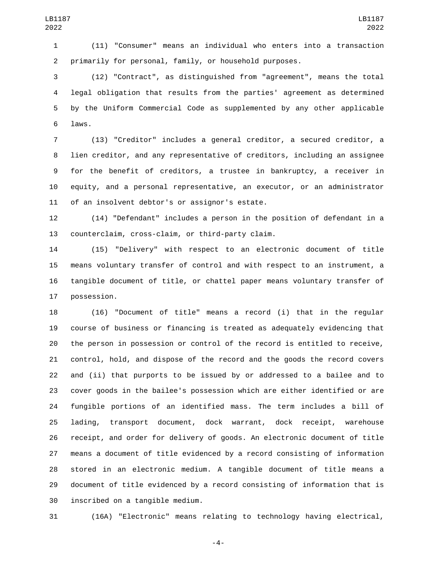(11) "Consumer" means an individual who enters into a transaction primarily for personal, family, or household purposes.

 (12) "Contract", as distinguished from "agreement", means the total legal obligation that results from the parties' agreement as determined by the Uniform Commercial Code as supplemented by any other applicable 6 laws.

 (13) "Creditor" includes a general creditor, a secured creditor, a lien creditor, and any representative of creditors, including an assignee for the benefit of creditors, a trustee in bankruptcy, a receiver in equity, and a personal representative, an executor, or an administrator 11 of an insolvent debtor's or assignor's estate.

 (14) "Defendant" includes a person in the position of defendant in a 13 counterclaim, cross-claim, or third-party claim.

 (15) "Delivery" with respect to an electronic document of title means voluntary transfer of control and with respect to an instrument, a tangible document of title, or chattel paper means voluntary transfer of 17 possession.

 (16) "Document of title" means a record (i) that in the regular course of business or financing is treated as adequately evidencing that the person in possession or control of the record is entitled to receive, control, hold, and dispose of the record and the goods the record covers and (ii) that purports to be issued by or addressed to a bailee and to cover goods in the bailee's possession which are either identified or are fungible portions of an identified mass. The term includes a bill of lading, transport document, dock warrant, dock receipt, warehouse receipt, and order for delivery of goods. An electronic document of title means a document of title evidenced by a record consisting of information stored in an electronic medium. A tangible document of title means a document of title evidenced by a record consisting of information that is 30 inscribed on a tangible medium.

(16A) "Electronic" means relating to technology having electrical,

-4-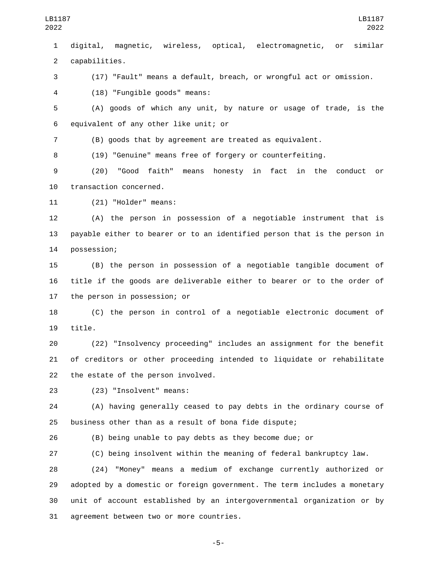## LB1187

 digital, magnetic, wireless, optical, electromagnetic, or similar 2 capabilities.

(17) "Fault" means a default, breach, or wrongful act or omission.

(18) "Fungible goods" means:4

 (A) goods of which any unit, by nature or usage of trade, is the 6 equivalent of any other like unit; or

(B) goods that by agreement are treated as equivalent.

(19) "Genuine" means free of forgery or counterfeiting.

 (20) "Good faith" means honesty in fact in the conduct or 10 transaction concerned.

11 (21) "Holder" means:

 (A) the person in possession of a negotiable instrument that is payable either to bearer or to an identified person that is the person in 14 possession;

 (B) the person in possession of a negotiable tangible document of title if the goods are deliverable either to bearer or to the order of 17 the person in possession; or

 (C) the person in control of a negotiable electronic document of 19 title.

 (22) "Insolvency proceeding" includes an assignment for the benefit of creditors or other proceeding intended to liquidate or rehabilitate 22 the estate of the person involved.

23 (23) "Insolvent" means:

 (A) having generally ceased to pay debts in the ordinary course of business other than as a result of bona fide dispute;

(B) being unable to pay debts as they become due; or

(C) being insolvent within the meaning of federal bankruptcy law.

 (24) "Money" means a medium of exchange currently authorized or adopted by a domestic or foreign government. The term includes a monetary unit of account established by an intergovernmental organization or by 31 agreement between two or more countries.

-5-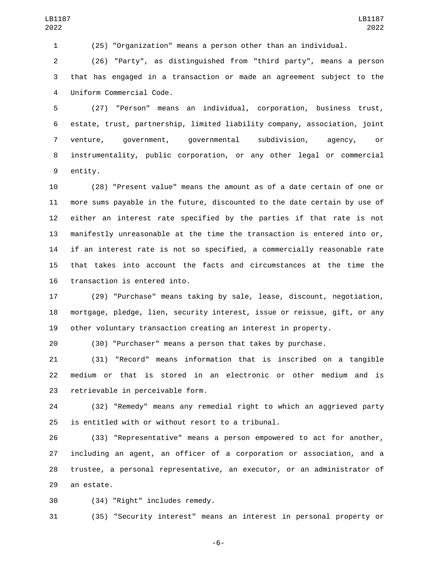(25) "Organization" means a person other than an individual.

 (26) "Party", as distinguished from "third party", means a person that has engaged in a transaction or made an agreement subject to the Uniform Commercial Code.4

 (27) "Person" means an individual, corporation, business trust, estate, trust, partnership, limited liability company, association, joint venture, government, governmental subdivision, agency, or instrumentality, public corporation, or any other legal or commercial 9 entity.

 (28) "Present value" means the amount as of a date certain of one or more sums payable in the future, discounted to the date certain by use of either an interest rate specified by the parties if that rate is not manifestly unreasonable at the time the transaction is entered into or, if an interest rate is not so specified, a commercially reasonable rate that takes into account the facts and circumstances at the time the 16 transaction is entered into.

 (29) "Purchase" means taking by sale, lease, discount, negotiation, mortgage, pledge, lien, security interest, issue or reissue, gift, or any other voluntary transaction creating an interest in property.

(30) "Purchaser" means a person that takes by purchase.

 (31) "Record" means information that is inscribed on a tangible medium or that is stored in an electronic or other medium and is 23 retrievable in perceivable form.

 (32) "Remedy" means any remedial right to which an aggrieved party 25 is entitled with or without resort to a tribunal.

 (33) "Representative" means a person empowered to act for another, including an agent, an officer of a corporation or association, and a trustee, a personal representative, an executor, or an administrator of 29 an estate.

(34) "Right" includes remedy.30

(35) "Security interest" means an interest in personal property or

-6-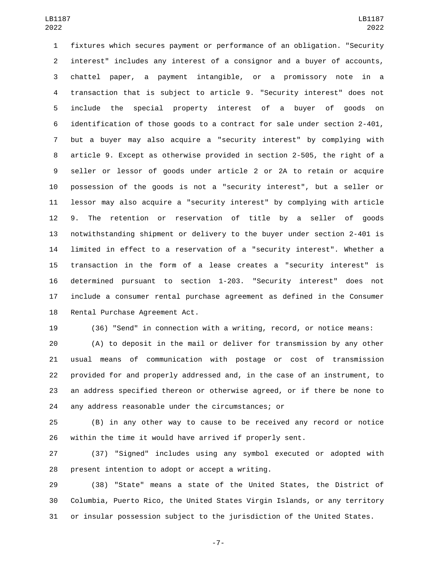fixtures which secures payment or performance of an obligation. "Security interest" includes any interest of a consignor and a buyer of accounts, chattel paper, a payment intangible, or a promissory note in a transaction that is subject to article 9. "Security interest" does not include the special property interest of a buyer of goods on identification of those goods to a contract for sale under section 2-401, but a buyer may also acquire a "security interest" by complying with article 9. Except as otherwise provided in section 2-505, the right of a seller or lessor of goods under article 2 or 2A to retain or acquire possession of the goods is not a "security interest", but a seller or lessor may also acquire a "security interest" by complying with article 9. The retention or reservation of title by a seller of goods notwithstanding shipment or delivery to the buyer under section 2-401 is limited in effect to a reservation of a "security interest". Whether a transaction in the form of a lease creates a "security interest" is determined pursuant to section 1-203. "Security interest" does not include a consumer rental purchase agreement as defined in the Consumer 18 Rental Purchase Agreement Act.

(36) "Send" in connection with a writing, record, or notice means:

 (A) to deposit in the mail or deliver for transmission by any other usual means of communication with postage or cost of transmission provided for and properly addressed and, in the case of an instrument, to an address specified thereon or otherwise agreed, or if there be none to any address reasonable under the circumstances; or

 (B) in any other way to cause to be received any record or notice within the time it would have arrived if properly sent.

 (37) "Signed" includes using any symbol executed or adopted with 28 present intention to adopt or accept a writing.

 (38) "State" means a state of the United States, the District of Columbia, Puerto Rico, the United States Virgin Islands, or any territory or insular possession subject to the jurisdiction of the United States.

-7-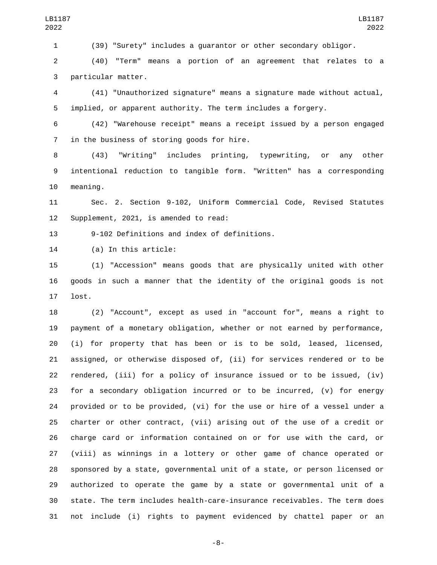(39) "Surety" includes a guarantor or other secondary obligor.

 (40) "Term" means a portion of an agreement that relates to a 3 particular matter.

 (41) "Unauthorized signature" means a signature made without actual, implied, or apparent authority. The term includes a forgery.

 (42) "Warehouse receipt" means a receipt issued by a person engaged 7 in the business of storing goods for hire.

 (43) "Writing" includes printing, typewriting, or any other intentional reduction to tangible form. "Written" has a corresponding 10 meaning.

 Sec. 2. Section 9-102, Uniform Commercial Code, Revised Statutes 12 Supplement, 2021, is amended to read:

13 9-102 Definitions and index of definitions.

14 (a) In this article:

 (1) "Accession" means goods that are physically united with other goods in such a manner that the identity of the original goods is not 17 lost.

 (2) "Account", except as used in "account for", means a right to payment of a monetary obligation, whether or not earned by performance, (i) for property that has been or is to be sold, leased, licensed, assigned, or otherwise disposed of, (ii) for services rendered or to be rendered, (iii) for a policy of insurance issued or to be issued, (iv) for a secondary obligation incurred or to be incurred, (v) for energy provided or to be provided, (vi) for the use or hire of a vessel under a charter or other contract, (vii) arising out of the use of a credit or charge card or information contained on or for use with the card, or (viii) as winnings in a lottery or other game of chance operated or sponsored by a state, governmental unit of a state, or person licensed or authorized to operate the game by a state or governmental unit of a state. The term includes health-care-insurance receivables. The term does not include (i) rights to payment evidenced by chattel paper or an

-8-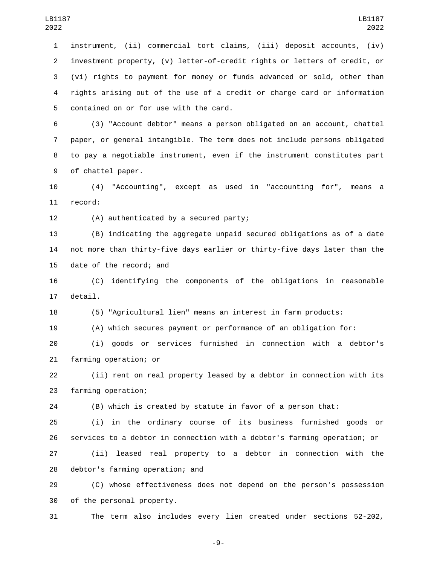instrument, (ii) commercial tort claims, (iii) deposit accounts, (iv) investment property, (v) letter-of-credit rights or letters of credit, or (vi) rights to payment for money or funds advanced or sold, other than rights arising out of the use of a credit or charge card or information 5 contained on or for use with the card.

 (3) "Account debtor" means a person obligated on an account, chattel paper, or general intangible. The term does not include persons obligated to pay a negotiable instrument, even if the instrument constitutes part 9 of chattel paper.

 (4) "Accounting", except as used in "accounting for", means a 11 record:

12 (A) authenticated by a secured party;

 (B) indicating the aggregate unpaid secured obligations as of a date not more than thirty-five days earlier or thirty-five days later than the 15 date of the record; and

 (C) identifying the components of the obligations in reasonable 17 detail.

(5) "Agricultural lien" means an interest in farm products:

(A) which secures payment or performance of an obligation for:

 (i) goods or services furnished in connection with a debtor's 21 farming operation; or

 (ii) rent on real property leased by a debtor in connection with its 23 farming operation;

(B) which is created by statute in favor of a person that:

 (i) in the ordinary course of its business furnished goods or services to a debtor in connection with a debtor's farming operation; or

 (ii) leased real property to a debtor in connection with the 28 debtor's farming operation; and

 (C) whose effectiveness does not depend on the person's possession 30 of the personal property.

The term also includes every lien created under sections 52-202,

-9-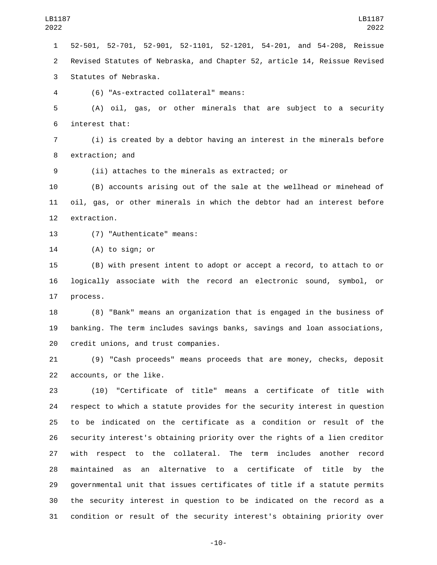52-501, 52-701, 52-901, 52-1101, 52-1201, 54-201, and 54-208, Reissue Revised Statutes of Nebraska, and Chapter 52, article 14, Reissue Revised 3 Statutes of Nebraska.

(6) "As-extracted collateral" means:4

 (A) oil, gas, or other minerals that are subject to a security 6 interest that:

 (i) is created by a debtor having an interest in the minerals before 8 extraction; and

(ii) attaches to the minerals as extracted; or

 (B) accounts arising out of the sale at the wellhead or minehead of oil, gas, or other minerals in which the debtor had an interest before 12 extraction.

13 (7) "Authenticate" means:

(A) to sign; or14

 (B) with present intent to adopt or accept a record, to attach to or logically associate with the record an electronic sound, symbol, or 17 process.

 (8) "Bank" means an organization that is engaged in the business of banking. The term includes savings banks, savings and loan associations, 20 credit unions, and trust companies.

 (9) "Cash proceeds" means proceeds that are money, checks, deposit 22 accounts, or the like.

 (10) "Certificate of title" means a certificate of title with respect to which a statute provides for the security interest in question to be indicated on the certificate as a condition or result of the security interest's obtaining priority over the rights of a lien creditor with respect to the collateral. The term includes another record maintained as an alternative to a certificate of title by the governmental unit that issues certificates of title if a statute permits the security interest in question to be indicated on the record as a condition or result of the security interest's obtaining priority over

-10-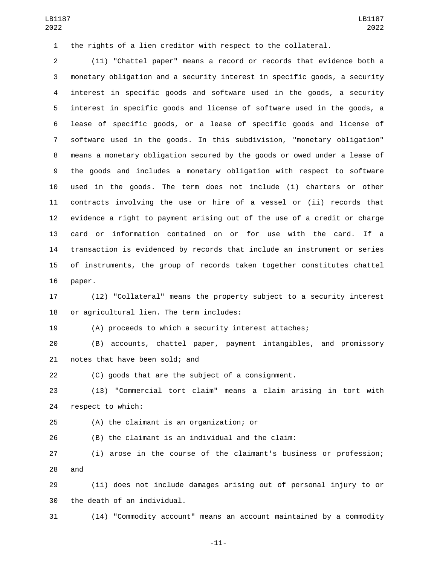the rights of a lien creditor with respect to the collateral.

 (11) "Chattel paper" means a record or records that evidence both a monetary obligation and a security interest in specific goods, a security interest in specific goods and software used in the goods, a security interest in specific goods and license of software used in the goods, a lease of specific goods, or a lease of specific goods and license of software used in the goods. In this subdivision, "monetary obligation" means a monetary obligation secured by the goods or owed under a lease of the goods and includes a monetary obligation with respect to software used in the goods. The term does not include (i) charters or other contracts involving the use or hire of a vessel or (ii) records that evidence a right to payment arising out of the use of a credit or charge card or information contained on or for use with the card. If a transaction is evidenced by records that include an instrument or series of instruments, the group of records taken together constitutes chattel 16 paper.

 (12) "Collateral" means the property subject to a security interest 18 or agricultural lien. The term includes:

(A) proceeds to which a security interest attaches;

 (B) accounts, chattel paper, payment intangibles, and promissory 21 notes that have been sold; and

(C) goods that are the subject of a consignment.

 (13) "Commercial tort claim" means a claim arising in tort with 24 respect to which:

25 (A) the claimant is an organization; or

(B) the claimant is an individual and the claim:

 (i) arose in the course of the claimant's business or profession; and

 (ii) does not include damages arising out of personal injury to or 30 the death of an individual.

(14) "Commodity account" means an account maintained by a commodity

-11-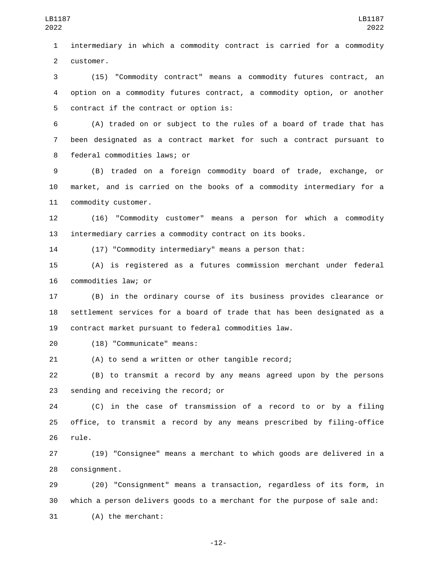intermediary in which a commodity contract is carried for a commodity 2 customer.

 (15) "Commodity contract" means a commodity futures contract, an option on a commodity futures contract, a commodity option, or another 5 contract if the contract or option is:

 (A) traded on or subject to the rules of a board of trade that has been designated as a contract market for such a contract pursuant to 8 federal commodities laws; or

 (B) traded on a foreign commodity board of trade, exchange, or market, and is carried on the books of a commodity intermediary for a 11 commodity customer.

 (16) "Commodity customer" means a person for which a commodity intermediary carries a commodity contract on its books.

(17) "Commodity intermediary" means a person that:

 (A) is registered as a futures commission merchant under federal 16 commodities law; or

 (B) in the ordinary course of its business provides clearance or settlement services for a board of trade that has been designated as a contract market pursuant to federal commodities law.

(18) "Communicate" means:20

(A) to send a written or other tangible record;

 (B) to transmit a record by any means agreed upon by the persons 23 sending and receiving the record; or

 (C) in the case of transmission of a record to or by a filing office, to transmit a record by any means prescribed by filing-office 26 rule.

 (19) "Consignee" means a merchant to which goods are delivered in a 28 consignment.

 (20) "Consignment" means a transaction, regardless of its form, in which a person delivers goods to a merchant for the purpose of sale and: 31 (A) the merchant:

-12-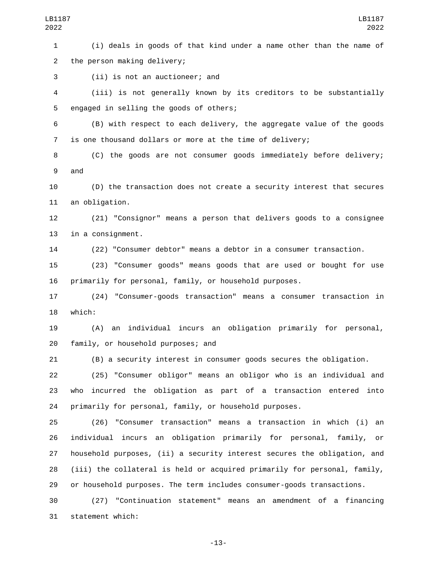(i) deals in goods of that kind under a name other than the name of 2 the person making delivery;

3 (ii) is not an auctioneer; and

 (iii) is not generally known by its creditors to be substantially 5 engaged in selling the goods of others;

 (B) with respect to each delivery, the aggregate value of the goods is one thousand dollars or more at the time of delivery;

 (C) the goods are not consumer goods immediately before delivery; 9 and

 (D) the transaction does not create a security interest that secures 11 an obligation.

 (21) "Consignor" means a person that delivers goods to a consignee 13 in a consignment.

(22) "Consumer debtor" means a debtor in a consumer transaction.

 (23) "Consumer goods" means goods that are used or bought for use primarily for personal, family, or household purposes.

 (24) "Consumer-goods transaction" means a consumer transaction in 18 which:

 (A) an individual incurs an obligation primarily for personal, 20 family, or household purposes; and

(B) a security interest in consumer goods secures the obligation.

 (25) "Consumer obligor" means an obligor who is an individual and who incurred the obligation as part of a transaction entered into primarily for personal, family, or household purposes.

 (26) "Consumer transaction" means a transaction in which (i) an individual incurs an obligation primarily for personal, family, or household purposes, (ii) a security interest secures the obligation, and (iii) the collateral is held or acquired primarily for personal, family, or household purposes. The term includes consumer-goods transactions.

 (27) "Continuation statement" means an amendment of a financing statement which:31

-13-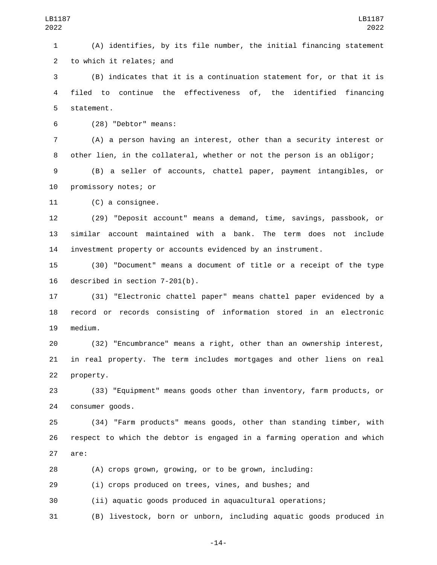(A) identifies, by its file number, the initial financing statement 2 to which it relates; and

 (B) indicates that it is a continuation statement for, or that it is filed to continue the effectiveness of, the identified financing 5 statement.

(28) "Debtor" means:6

 (A) a person having an interest, other than a security interest or other lien, in the collateral, whether or not the person is an obligor;

 (B) a seller of accounts, chattel paper, payment intangibles, or 10 promissory notes; or

11 (C) a consignee.

 (29) "Deposit account" means a demand, time, savings, passbook, or similar account maintained with a bank. The term does not include investment property or accounts evidenced by an instrument.

 (30) "Document" means a document of title or a receipt of the type 16 described in section  $7-201(b)$ .

 (31) "Electronic chattel paper" means chattel paper evidenced by a record or records consisting of information stored in an electronic 19 medium.

 (32) "Encumbrance" means a right, other than an ownership interest, in real property. The term includes mortgages and other liens on real 22 property.

 (33) "Equipment" means goods other than inventory, farm products, or 24 consumer goods.

 (34) "Farm products" means goods, other than standing timber, with respect to which the debtor is engaged in a farming operation and which 27 are:

(A) crops grown, growing, or to be grown, including:

(i) crops produced on trees, vines, and bushes; and

(ii) aquatic goods produced in aquacultural operations;

(B) livestock, born or unborn, including aquatic goods produced in

-14-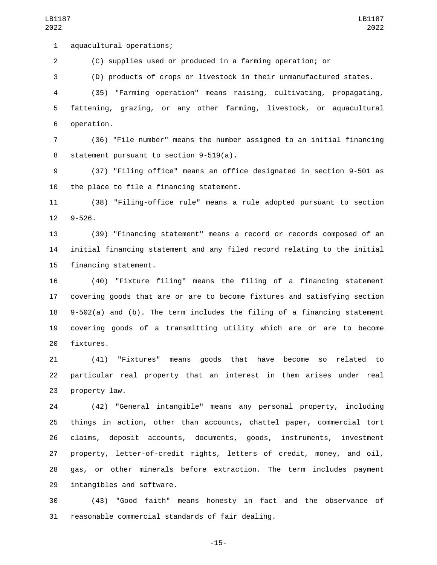1 aquacultural operations;

(C) supplies used or produced in a farming operation; or

(D) products of crops or livestock in their unmanufactured states.

 (35) "Farming operation" means raising, cultivating, propagating, fattening, grazing, or any other farming, livestock, or aquacultural 6 operation.

 (36) "File number" means the number assigned to an initial financing 8 statement pursuant to section  $9-519(a)$ .

 (37) "Filing office" means an office designated in section 9-501 as 10 the place to file a financing statement.

 (38) "Filing-office rule" means a rule adopted pursuant to section  $12 \quad 9 - 526$ .

 (39) "Financing statement" means a record or records composed of an initial financing statement and any filed record relating to the initial 15 financing statement.

 (40) "Fixture filing" means the filing of a financing statement covering goods that are or are to become fixtures and satisfying section 9-502(a) and (b). The term includes the filing of a financing statement covering goods of a transmitting utility which are or are to become 20 fixtures.

 (41) "Fixtures" means goods that have become so related to particular real property that an interest in them arises under real 23 property law.

 (42) "General intangible" means any personal property, including things in action, other than accounts, chattel paper, commercial tort claims, deposit accounts, documents, goods, instruments, investment property, letter-of-credit rights, letters of credit, money, and oil, gas, or other minerals before extraction. The term includes payment 29 intangibles and software.

 (43) "Good faith" means honesty in fact and the observance of 31 reasonable commercial standards of fair dealing.

-15-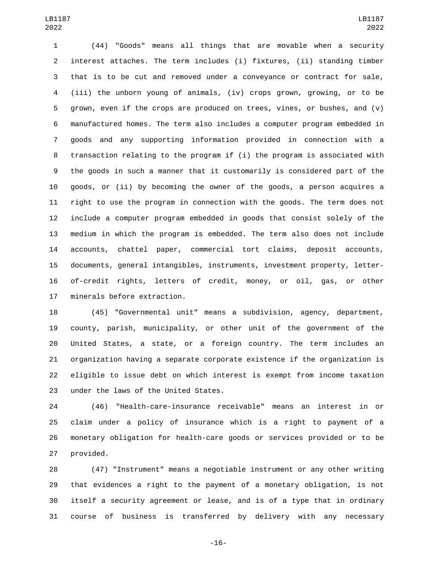(44) "Goods" means all things that are movable when a security interest attaches. The term includes (i) fixtures, (ii) standing timber that is to be cut and removed under a conveyance or contract for sale, (iii) the unborn young of animals, (iv) crops grown, growing, or to be grown, even if the crops are produced on trees, vines, or bushes, and (v) manufactured homes. The term also includes a computer program embedded in goods and any supporting information provided in connection with a transaction relating to the program if (i) the program is associated with the goods in such a manner that it customarily is considered part of the goods, or (ii) by becoming the owner of the goods, a person acquires a right to use the program in connection with the goods. The term does not include a computer program embedded in goods that consist solely of the medium in which the program is embedded. The term also does not include accounts, chattel paper, commercial tort claims, deposit accounts, documents, general intangibles, instruments, investment property, letter- of-credit rights, letters of credit, money, or oil, gas, or other 17 minerals before extraction.

 (45) "Governmental unit" means a subdivision, agency, department, county, parish, municipality, or other unit of the government of the United States, a state, or a foreign country. The term includes an organization having a separate corporate existence if the organization is eligible to issue debt on which interest is exempt from income taxation 23 under the laws of the United States.

 (46) "Health-care-insurance receivable" means an interest in or claim under a policy of insurance which is a right to payment of a monetary obligation for health-care goods or services provided or to be 27 provided.

 (47) "Instrument" means a negotiable instrument or any other writing that evidences a right to the payment of a monetary obligation, is not itself a security agreement or lease, and is of a type that in ordinary course of business is transferred by delivery with any necessary

-16-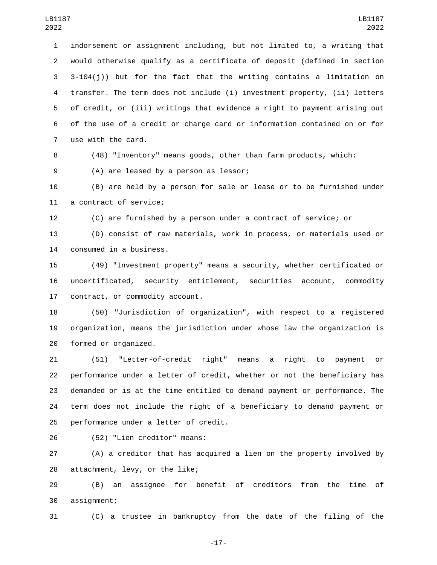indorsement or assignment including, but not limited to, a writing that would otherwise qualify as a certificate of deposit (defined in section 3-104(j)) but for the fact that the writing contains a limitation on transfer. The term does not include (i) investment property, (ii) letters of credit, or (iii) writings that evidence a right to payment arising out of the use of a credit or charge card or information contained on or for 7 use with the card.

(48) "Inventory" means goods, other than farm products, which:

(A) are leased by a person as lessor;9

 (B) are held by a person for sale or lease or to be furnished under 11 a contract of service;

(C) are furnished by a person under a contract of service; or

 (D) consist of raw materials, work in process, or materials used or 14 consumed in a business.

 (49) "Investment property" means a security, whether certificated or uncertificated, security entitlement, securities account, commodity 17 contract, or commodity account.

 (50) "Jurisdiction of organization", with respect to a registered organization, means the jurisdiction under whose law the organization is 20 formed or organized.

 (51) "Letter-of-credit right" means a right to payment or performance under a letter of credit, whether or not the beneficiary has demanded or is at the time entitled to demand payment or performance. The term does not include the right of a beneficiary to demand payment or 25 performance under a letter of credit.

26 (52) "Lien creditor" means:

 (A) a creditor that has acquired a lien on the property involved by 28 attachment, levy, or the like;

 (B) an assignee for benefit of creditors from the time of 30 assignment;

(C) a trustee in bankruptcy from the date of the filing of the

-17-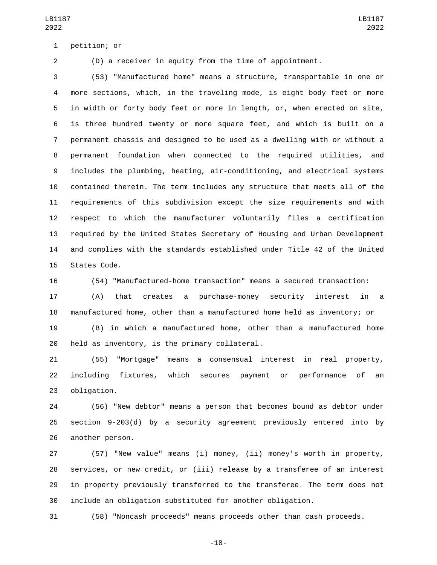1 petition; or

(D) a receiver in equity from the time of appointment.

 (53) "Manufactured home" means a structure, transportable in one or more sections, which, in the traveling mode, is eight body feet or more in width or forty body feet or more in length, or, when erected on site, is three hundred twenty or more square feet, and which is built on a permanent chassis and designed to be used as a dwelling with or without a permanent foundation when connected to the required utilities, and includes the plumbing, heating, air-conditioning, and electrical systems contained therein. The term includes any structure that meets all of the requirements of this subdivision except the size requirements and with respect to which the manufacturer voluntarily files a certification required by the United States Secretary of Housing and Urban Development and complies with the standards established under Title 42 of the United 15 States Code.

(54) "Manufactured-home transaction" means a secured transaction:

 (A) that creates a purchase-money security interest in a manufactured home, other than a manufactured home held as inventory; or (B) in which a manufactured home, other than a manufactured home 20 held as inventory, is the primary collateral.

 (55) "Mortgage" means a consensual interest in real property, including fixtures, which secures payment or performance of an 23 obligation.

 (56) "New debtor" means a person that becomes bound as debtor under section 9-203(d) by a security agreement previously entered into by 26 another person.

 (57) "New value" means (i) money, (ii) money's worth in property, services, or new credit, or (iii) release by a transferee of an interest in property previously transferred to the transferee. The term does not include an obligation substituted for another obligation.

(58) "Noncash proceeds" means proceeds other than cash proceeds.

-18-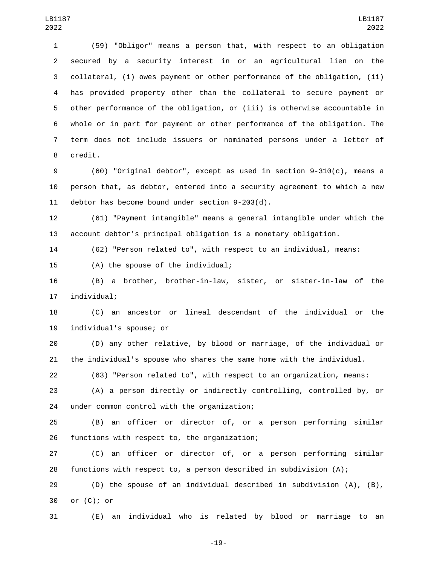(59) "Obligor" means a person that, with respect to an obligation secured by a security interest in or an agricultural lien on the collateral, (i) owes payment or other performance of the obligation, (ii) has provided property other than the collateral to secure payment or other performance of the obligation, or (iii) is otherwise accountable in whole or in part for payment or other performance of the obligation. The term does not include issuers or nominated persons under a letter of 8 credit.

 (60) "Original debtor", except as used in section 9-310(c), means a person that, as debtor, entered into a security agreement to which a new 11 debtor has become bound under section  $9-203(d)$ .

 (61) "Payment intangible" means a general intangible under which the account debtor's principal obligation is a monetary obligation.

(62) "Person related to", with respect to an individual, means:

15 (A) the spouse of the individual;

 (B) a brother, brother-in-law, sister, or sister-in-law of the 17 individual;

 (C) an ancestor or lineal descendant of the individual or the 19 individual's spouse; or

 (D) any other relative, by blood or marriage, of the individual or the individual's spouse who shares the same home with the individual.

(63) "Person related to", with respect to an organization, means:

 (A) a person directly or indirectly controlling, controlled by, or 24 under common control with the organization;

 (B) an officer or director of, or a person performing similar 26 functions with respect to, the organization;

 (C) an officer or director of, or a person performing similar 28 functions with respect to, a person described in subdivision  $(A)$ ;

 (D) the spouse of an individual described in subdivision (A), (B), 30 or (C); or

(E) an individual who is related by blood or marriage to an

-19-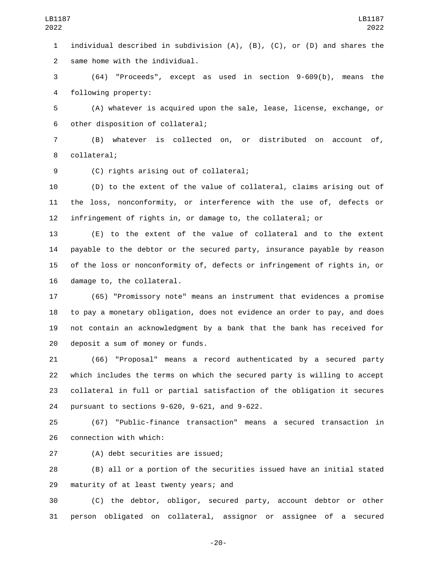individual described in subdivision (A), (B), (C), or (D) and shares the 2 same home with the individual.

 (64) "Proceeds", except as used in section 9-609(b), means the following property:4

 (A) whatever is acquired upon the sale, lease, license, exchange, or 6 other disposition of collateral;

 (B) whatever is collected on, or distributed on account of, 8 collateral;

(C) rights arising out of collateral;9

 (D) to the extent of the value of collateral, claims arising out of the loss, nonconformity, or interference with the use of, defects or infringement of rights in, or damage to, the collateral; or

 (E) to the extent of the value of collateral and to the extent payable to the debtor or the secured party, insurance payable by reason of the loss or nonconformity of, defects or infringement of rights in, or 16 damage to, the collateral.

 (65) "Promissory note" means an instrument that evidences a promise to pay a monetary obligation, does not evidence an order to pay, and does not contain an acknowledgment by a bank that the bank has received for 20 deposit a sum of money or funds.

 (66) "Proposal" means a record authenticated by a secured party which includes the terms on which the secured party is willing to accept collateral in full or partial satisfaction of the obligation it secures 24 pursuant to sections  $9-620$ ,  $9-621$ , and  $9-622$ .

 (67) "Public-finance transaction" means a secured transaction in 26 connection with which:

(A) debt securities are issued;27

 (B) all or a portion of the securities issued have an initial stated 29 maturity of at least twenty years; and

 (C) the debtor, obligor, secured party, account debtor or other person obligated on collateral, assignor or assignee of a secured

-20-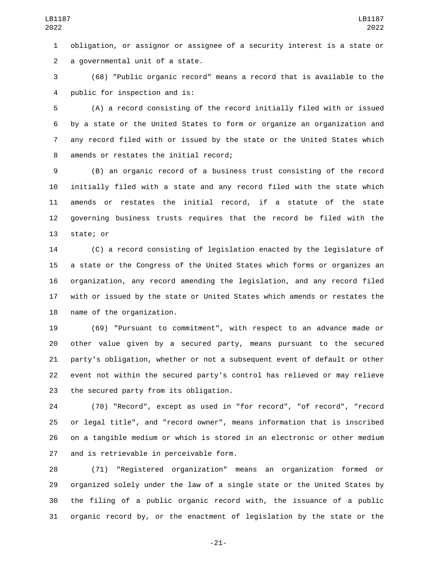obligation, or assignor or assignee of a security interest is a state or 2 a governmental unit of a state.

 (68) "Public organic record" means a record that is available to the 4 public for inspection and is:

 (A) a record consisting of the record initially filed with or issued by a state or the United States to form or organize an organization and any record filed with or issued by the state or the United States which 8 amends or restates the initial record;

 (B) an organic record of a business trust consisting of the record initially filed with a state and any record filed with the state which amends or restates the initial record, if a statute of the state governing business trusts requires that the record be filed with the 13 state; or

 (C) a record consisting of legislation enacted by the legislature of a state or the Congress of the United States which forms or organizes an organization, any record amending the legislation, and any record filed with or issued by the state or United States which amends or restates the 18 name of the organization.

 (69) "Pursuant to commitment", with respect to an advance made or other value given by a secured party, means pursuant to the secured party's obligation, whether or not a subsequent event of default or other event not within the secured party's control has relieved or may relieve 23 the secured party from its obligation.

 (70) "Record", except as used in "for record", "of record", "record or legal title", and "record owner", means information that is inscribed on a tangible medium or which is stored in an electronic or other medium 27 and is retrievable in perceivable form.

 (71) "Registered organization" means an organization formed or organized solely under the law of a single state or the United States by the filing of a public organic record with, the issuance of a public organic record by, or the enactment of legislation by the state or the

-21-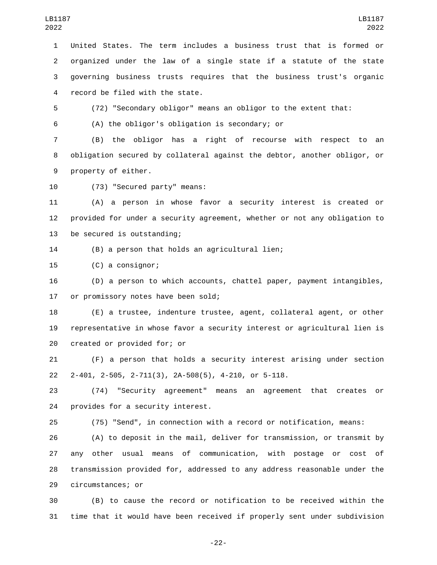United States. The term includes a business trust that is formed or organized under the law of a single state if a statute of the state governing business trusts requires that the business trust's organic 4 record be filed with the state.

(72) "Secondary obligor" means an obligor to the extent that:

(A) the obligor's obligation is secondary; or6

 (B) the obligor has a right of recourse with respect to an obligation secured by collateral against the debtor, another obligor, or 9 property of either.

10 (73) "Secured party" means:

 (A) a person in whose favor a security interest is created or provided for under a security agreement, whether or not any obligation to 13 be secured is outstanding;

(B) a person that holds an agricultural lien;

15 (C) a consignor;

 (D) a person to which accounts, chattel paper, payment intangibles, 17 or promissory notes have been sold;

 (E) a trustee, indenture trustee, agent, collateral agent, or other representative in whose favor a security interest or agricultural lien is 20 created or provided for; or

 (F) a person that holds a security interest arising under section 2-401, 2-505, 2-711(3), 2A-508(5), 4-210, or 5-118.

 (74) "Security agreement" means an agreement that creates or 24 provides for a security interest.

(75) "Send", in connection with a record or notification, means:

 (A) to deposit in the mail, deliver for transmission, or transmit by any other usual means of communication, with postage or cost of transmission provided for, addressed to any address reasonable under the 29 circumstances; or

 (B) to cause the record or notification to be received within the time that it would have been received if properly sent under subdivision

-22-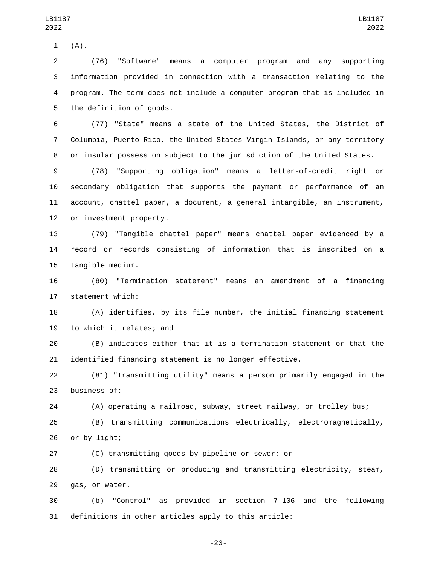$1(A).$ 

 (76) "Software" means a computer program and any supporting information provided in connection with a transaction relating to the program. The term does not include a computer program that is included in 5 the definition of goods.

 (77) "State" means a state of the United States, the District of Columbia, Puerto Rico, the United States Virgin Islands, or any territory or insular possession subject to the jurisdiction of the United States.

 (78) "Supporting obligation" means a letter-of-credit right or secondary obligation that supports the payment or performance of an account, chattel paper, a document, a general intangible, an instrument, 12 or investment property.

 (79) "Tangible chattel paper" means chattel paper evidenced by a record or records consisting of information that is inscribed on a 15 tangible medium.

 (80) "Termination statement" means an amendment of a financing 17 statement which:

 (A) identifies, by its file number, the initial financing statement 19 to which it relates; and

 (B) indicates either that it is a termination statement or that the identified financing statement is no longer effective.

 (81) "Transmitting utility" means a person primarily engaged in the 23 business of:

(A) operating a railroad, subway, street railway, or trolley bus;

 (B) transmitting communications electrically, electromagnetically, 26 or by light;

(C) transmitting goods by pipeline or sewer; or

 (D) transmitting or producing and transmitting electricity, steam, 29 gas, or water.

 (b) "Control" as provided in section 7-106 and the following definitions in other articles apply to this article:

-23-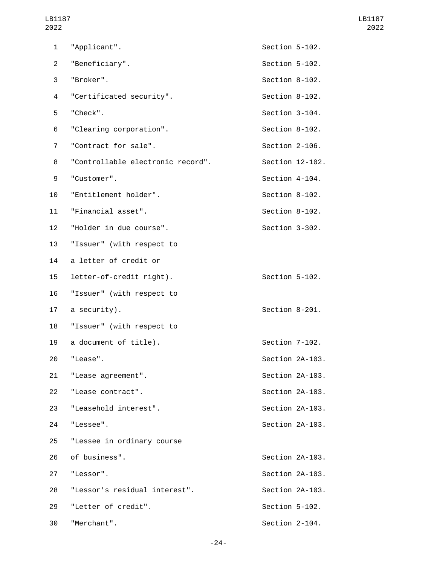| 1              | "Applicant".                      | Section 5-102.  |  |
|----------------|-----------------------------------|-----------------|--|
| $\overline{c}$ | "Beneficiary".                    | Section 5-102.  |  |
| 3              | "Broker".                         | Section 8-102.  |  |
| 4              | "Certificated security".          | Section 8-102.  |  |
| 5              | "Check".                          | Section 3-104.  |  |
| 6              | "Clearing corporation".           | Section 8-102.  |  |
| $\overline{7}$ | "Contract for sale".              | Section 2-106.  |  |
| 8              | "Controllable electronic record". | Section 12-102. |  |
| 9              | "Customer".                       | Section 4-104.  |  |
| 10             | "Entitlement holder".             | Section 8-102.  |  |
| 11             | "Financial asset".                | Section 8-102.  |  |
| 12             | "Holder in due course".           | Section 3-302.  |  |
| 13             | "Issuer" (with respect to         |                 |  |
| 14             | a letter of credit or             |                 |  |
| 15             | letter-of-credit right).          | Section 5-102.  |  |
| 16             | "Issuer" (with respect to         |                 |  |
| 17             | a security).                      | Section 8-201.  |  |
| 18             | "Issuer" (with respect to         |                 |  |
| 19             | a document of title).             | Section 7-102.  |  |
| 20             | "Lease".                          | Section 2A-103. |  |
| 21             | "Lease agreement".                | Section 2A-103. |  |
| 22             | "Lease contract".                 | Section 2A-103. |  |
| 23             | "Leasehold interest".             | Section 2A-103. |  |
| 24             | "Lessee".                         | Section 2A-103. |  |
| 25             | "Lessee in ordinary course        |                 |  |
| 26             | of business".                     | Section 2A-103. |  |
| 27             | "Lessor".                         | Section 2A-103. |  |
| 28             | "Lessor's residual interest".     | Section 2A-103. |  |
| 29             | "Letter of credit".               | Section 5-102.  |  |
| 30             | "Merchant".                       | Section 2-104.  |  |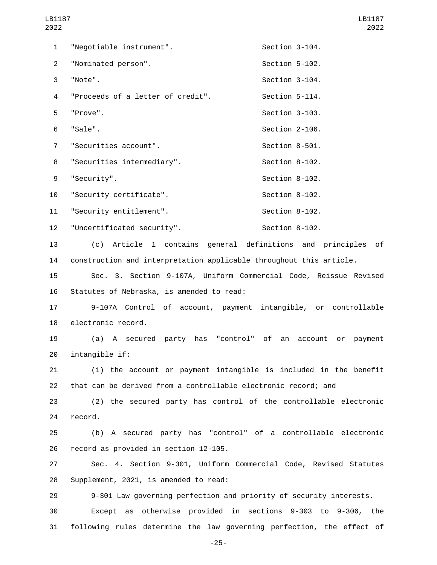| $\mathbf{1}$   | "Negotiable instrument".                       | Section 3-104. |
|----------------|------------------------------------------------|----------------|
| $\overline{2}$ | "Nominated person".                            | Section 5-102. |
| 3              | "Note".                                        | Section 3-104. |
| 4              | "Proceeds of a letter of credit".              | Section 5-114. |
| 5              | "Prove".                                       | Section 3-103. |
| 6              | "Sale".                                        | Section 2-106. |
| $\overline{7}$ | "Securities account".                          | Section 8-501. |
| 8              | "Securities intermediary".                     | Section 8-102. |
| 9              | "Security".                                    | Section 8-102. |
| 10             | "Security certificate".                        | Section 8-102. |
| 11             | "Security entitlement".                        | Section 8-102. |
| 12             | "Uncertificated security".                     | Section 8-102. |
| 10             | (a) Artiala 1 containe general definitione and |                |

13 (c) Article 1 contains general definitions and principles of 14 construction and interpretation applicable throughout this article.

15 Sec. 3. Section 9-107A, Uniform Commercial Code, Reissue Revised 16 Statutes of Nebraska, is amended to read:

17 9-107A Control of account, payment intangible, or controllable 18 electronic record.

19 (a) A secured party has "control" of an account or payment 20 intangible if:

21 (1) the account or payment intangible is included in the benefit 22 that can be derived from a controllable electronic record; and

23 (2) the secured party has control of the controllable electronic 24 record.

25 (b) A secured party has "control" of a controllable electronic 26 record as provided in section 12-105.

27 Sec. 4. Section 9-301, Uniform Commercial Code, Revised Statutes 28 Supplement, 2021, is amended to read:

29 9-301 Law governing perfection and priority of security interests.

30 Except as otherwise provided in sections 9-303 to 9-306, the 31 following rules determine the law governing perfection, the effect of

-25-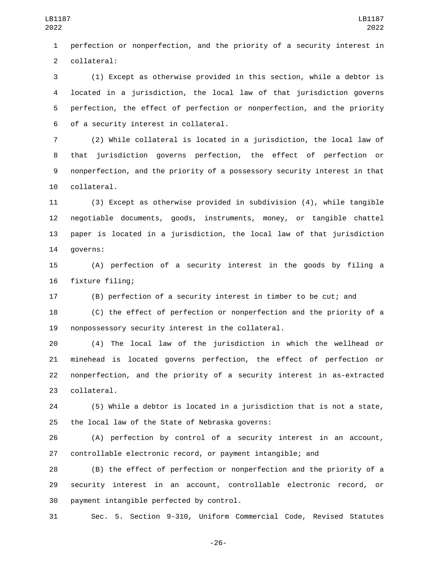perfection or nonperfection, and the priority of a security interest in 2 collateral:

 (1) Except as otherwise provided in this section, while a debtor is located in a jurisdiction, the local law of that jurisdiction governs perfection, the effect of perfection or nonperfection, and the priority 6 of a security interest in collateral.

 (2) While collateral is located in a jurisdiction, the local law of that jurisdiction governs perfection, the effect of perfection or nonperfection, and the priority of a possessory security interest in that 10 collateral.

 (3) Except as otherwise provided in subdivision (4), while tangible negotiable documents, goods, instruments, money, or tangible chattel paper is located in a jurisdiction, the local law of that jurisdiction 14 governs:

 (A) perfection of a security interest in the goods by filing a 16 fixture filing;

(B) perfection of a security interest in timber to be cut; and

 (C) the effect of perfection or nonperfection and the priority of a nonpossessory security interest in the collateral.

 (4) The local law of the jurisdiction in which the wellhead or minehead is located governs perfection, the effect of perfection or nonperfection, and the priority of a security interest in as-extracted 23 collateral.

 (5) While a debtor is located in a jurisdiction that is not a state, 25 the local law of the State of Nebraska governs:

 (A) perfection by control of a security interest in an account, controllable electronic record, or payment intangible; and

 (B) the effect of perfection or nonperfection and the priority of a security interest in an account, controllable electronic record, or 30 payment intangible perfected by control.

Sec. 5. Section 9-310, Uniform Commercial Code, Revised Statutes

-26-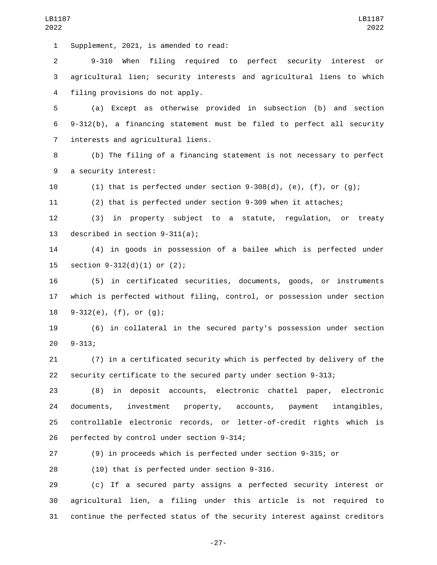1 Supplement, 2021, is amended to read:

 9-310 When filing required to perfect security interest or agricultural lien; security interests and agricultural liens to which 4 filing provisions do not apply.

 (a) Except as otherwise provided in subsection (b) and section 9-312(b), a financing statement must be filed to perfect all security 7 interests and agricultural liens.

 (b) The filing of a financing statement is not necessary to perfect 9 a security interest:

10  $(1)$  that is perfected under section 9-308(d), (e), (f), or (g);

(2) that is perfected under section 9-309 when it attaches;

 (3) in property subject to a statute, regulation, or treaty 13 described in section  $9-311(a)$ ;

 (4) in goods in possession of a bailee which is perfected under 15 section  $9-312(d)(1)$  or  $(2)$ ;

 (5) in certificated securities, documents, goods, or instruments which is perfected without filing, control, or possession under section 18  $9-312(e)$ ,  $(f)$ , or  $(g)$ ;

 (6) in collateral in the secured party's possession under section 9-313;20

 (7) in a certificated security which is perfected by delivery of the security certificate to the secured party under section 9-313;

 (8) in deposit accounts, electronic chattel paper, electronic documents, investment property, accounts, payment intangibles, controllable electronic records, or letter-of-credit rights which is 26 perfected by control under section 9-314;

(9) in proceeds which is perfected under section 9-315; or

28 (10) that is perfected under section 9-316.

 (c) If a secured party assigns a perfected security interest or agricultural lien, a filing under this article is not required to continue the perfected status of the security interest against creditors

-27-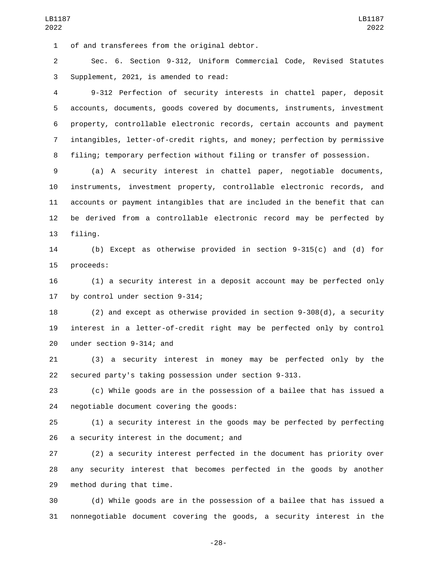1 of and transferees from the original debtor.

 Sec. 6. Section 9-312, Uniform Commercial Code, Revised Statutes Supplement, 2021, is amended to read:

 9-312 Perfection of security interests in chattel paper, deposit accounts, documents, goods covered by documents, instruments, investment property, controllable electronic records, certain accounts and payment intangibles, letter-of-credit rights, and money; perfection by permissive filing; temporary perfection without filing or transfer of possession.

 (a) A security interest in chattel paper, negotiable documents, instruments, investment property, controllable electronic records, and accounts or payment intangibles that are included in the benefit that can be derived from a controllable electronic record may be perfected by 13 filing.

 (b) Except as otherwise provided in section 9-315(c) and (d) for 15 proceeds:

 (1) a security interest in a deposit account may be perfected only 17 by control under section 9-314;

 (2) and except as otherwise provided in section 9-308(d), a security interest in a letter-of-credit right may be perfected only by control 20 under section 9-314; and

 (3) a security interest in money may be perfected only by the secured party's taking possession under section 9-313.

 (c) While goods are in the possession of a bailee that has issued a 24 negotiable document covering the goods:

 (1) a security interest in the goods may be perfected by perfecting 26 a security interest in the document; and

 (2) a security interest perfected in the document has priority over any security interest that becomes perfected in the goods by another 29 method during that time.

 (d) While goods are in the possession of a bailee that has issued a nonnegotiable document covering the goods, a security interest in the

-28-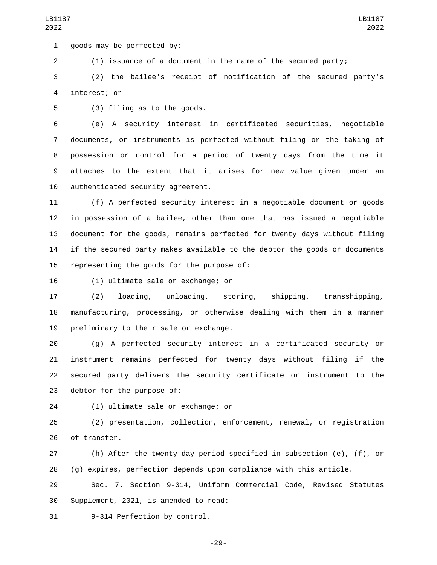qoods may be perfected by:

(1) issuance of a document in the name of the secured party;

 (2) the bailee's receipt of notification of the secured party's 4 interest; or

5 (3) filing as to the goods.

 (e) A security interest in certificated securities, negotiable documents, or instruments is perfected without filing or the taking of possession or control for a period of twenty days from the time it attaches to the extent that it arises for new value given under an 10 authenticated security agreement.

 (f) A perfected security interest in a negotiable document or goods in possession of a bailee, other than one that has issued a negotiable document for the goods, remains perfected for twenty days without filing if the secured party makes available to the debtor the goods or documents 15 representing the goods for the purpose of:

16 (1) ultimate sale or exchange; or

 (2) loading, unloading, storing, shipping, transshipping, manufacturing, processing, or otherwise dealing with them in a manner 19 preliminary to their sale or exchange.

 (g) A perfected security interest in a certificated security or instrument remains perfected for twenty days without filing if the secured party delivers the security certificate or instrument to the 23 debtor for the purpose of:

24 (1) ultimate sale or exchange; or

 (2) presentation, collection, enforcement, renewal, or registration 26 of transfer.

 (h) After the twenty-day period specified in subsection (e), (f), or (g) expires, perfection depends upon compliance with this article.

 Sec. 7. Section 9-314, Uniform Commercial Code, Revised Statutes 30 Supplement, 2021, is amended to read:

31 9-314 Perfection by control.

-29-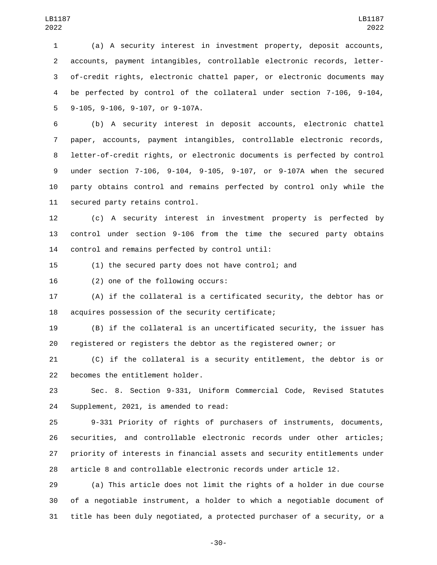(a) A security interest in investment property, deposit accounts, accounts, payment intangibles, controllable electronic records, letter- of-credit rights, electronic chattel paper, or electronic documents may be perfected by control of the collateral under section 7-106, 9-104, 5 9-105, 9-106, 9-107, or 9-107A.

 (b) A security interest in deposit accounts, electronic chattel paper, accounts, payment intangibles, controllable electronic records, letter-of-credit rights, or electronic documents is perfected by control under section 7-106, 9-104, 9-105, 9-107, or 9-107A when the secured party obtains control and remains perfected by control only while the 11 secured party retains control.

 (c) A security interest in investment property is perfected by control under section 9-106 from the time the secured party obtains 14 control and remains perfected by control until:

(1) the secured party does not have control; and

16 (2) one of the following occurs:

 (A) if the collateral is a certificated security, the debtor has or 18 acquires possession of the security certificate;

 (B) if the collateral is an uncertificated security, the issuer has registered or registers the debtor as the registered owner; or

 (C) if the collateral is a security entitlement, the debtor is or 22 becomes the entitlement holder.

 Sec. 8. Section 9-331, Uniform Commercial Code, Revised Statutes 24 Supplement, 2021, is amended to read:

 9-331 Priority of rights of purchasers of instruments, documents, securities, and controllable electronic records under other articles; priority of interests in financial assets and security entitlements under article 8 and controllable electronic records under article 12.

 (a) This article does not limit the rights of a holder in due course of a negotiable instrument, a holder to which a negotiable document of title has been duly negotiated, a protected purchaser of a security, or a

-30-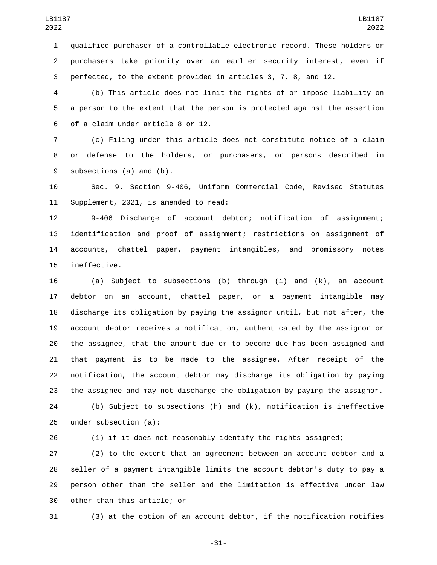qualified purchaser of a controllable electronic record. These holders or purchasers take priority over an earlier security interest, even if perfected, to the extent provided in articles 3, 7, 8, and 12.

 (b) This article does not limit the rights of or impose liability on a person to the extent that the person is protected against the assertion 6 of a claim under article 8 or 12.

 (c) Filing under this article does not constitute notice of a claim or defense to the holders, or purchasers, or persons described in 9 subsections (a) and (b).

 Sec. 9. Section 9-406, Uniform Commercial Code, Revised Statutes 11 Supplement, 2021, is amended to read:

 9-406 Discharge of account debtor; notification of assignment; identification and proof of assignment; restrictions on assignment of accounts, chattel paper, payment intangibles, and promissory notes 15 ineffective.

 (a) Subject to subsections (b) through (i) and (k), an account debtor on an account, chattel paper, or a payment intangible may discharge its obligation by paying the assignor until, but not after, the account debtor receives a notification, authenticated by the assignor or the assignee, that the amount due or to become due has been assigned and that payment is to be made to the assignee. After receipt of the notification, the account debtor may discharge its obligation by paying the assignee and may not discharge the obligation by paying the assignor.

 (b) Subject to subsections (h) and (k), notification is ineffective 25 under subsection (a):

(1) if it does not reasonably identify the rights assigned;

 (2) to the extent that an agreement between an account debtor and a seller of a payment intangible limits the account debtor's duty to pay a person other than the seller and the limitation is effective under law 30 other than this article; or

(3) at the option of an account debtor, if the notification notifies

-31-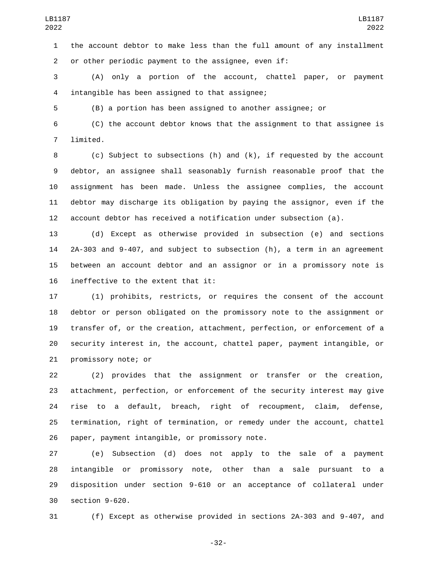the account debtor to make less than the full amount of any installment or other periodic payment to the assignee, even if:

 (A) only a portion of the account, chattel paper, or payment intangible has been assigned to that assignee;4

(B) a portion has been assigned to another assignee; or

 (C) the account debtor knows that the assignment to that assignee is 7 limited.

 (c) Subject to subsections (h) and (k), if requested by the account debtor, an assignee shall seasonably furnish reasonable proof that the assignment has been made. Unless the assignee complies, the account debtor may discharge its obligation by paying the assignor, even if the account debtor has received a notification under subsection (a).

 (d) Except as otherwise provided in subsection (e) and sections 2A-303 and 9-407, and subject to subsection (h), a term in an agreement between an account debtor and an assignor or in a promissory note is 16 ineffective to the extent that it:

 (1) prohibits, restricts, or requires the consent of the account debtor or person obligated on the promissory note to the assignment or transfer of, or the creation, attachment, perfection, or enforcement of a security interest in, the account, chattel paper, payment intangible, or 21 promissory note; or

 (2) provides that the assignment or transfer or the creation, attachment, perfection, or enforcement of the security interest may give rise to a default, breach, right of recoupment, claim, defense, termination, right of termination, or remedy under the account, chattel 26 paper, payment intangible, or promissory note.

 (e) Subsection (d) does not apply to the sale of a payment intangible or promissory note, other than a sale pursuant to a disposition under section 9-610 or an acceptance of collateral under 30 section 9-620.

(f) Except as otherwise provided in sections 2A-303 and 9-407, and

-32-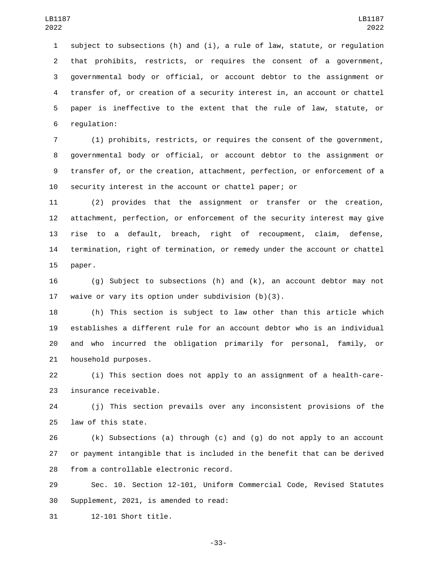subject to subsections (h) and (i), a rule of law, statute, or regulation that prohibits, restricts, or requires the consent of a government, governmental body or official, or account debtor to the assignment or transfer of, or creation of a security interest in, an account or chattel paper is ineffective to the extent that the rule of law, statute, or regulation:6

 (1) prohibits, restricts, or requires the consent of the government, governmental body or official, or account debtor to the assignment or transfer of, or the creation, attachment, perfection, or enforcement of a security interest in the account or chattel paper; or

 (2) provides that the assignment or transfer or the creation, attachment, perfection, or enforcement of the security interest may give rise to a default, breach, right of recoupment, claim, defense, termination, right of termination, or remedy under the account or chattel 15 paper.

 (g) Subject to subsections (h) and (k), an account debtor may not waive or vary its option under subdivision (b)(3).

 (h) This section is subject to law other than this article which establishes a different rule for an account debtor who is an individual and who incurred the obligation primarily for personal, family, or 21 household purposes.

 (i) This section does not apply to an assignment of a health-care-23 insurance receivable.

 (j) This section prevails over any inconsistent provisions of the 25 law of this state.

 (k) Subsections (a) through (c) and (g) do not apply to an account or payment intangible that is included in the benefit that can be derived 28 from a controllable electronic record.

 Sec. 10. Section 12-101, Uniform Commercial Code, Revised Statutes 30 Supplement, 2021, is amended to read:

12-101 Short title.31

-33-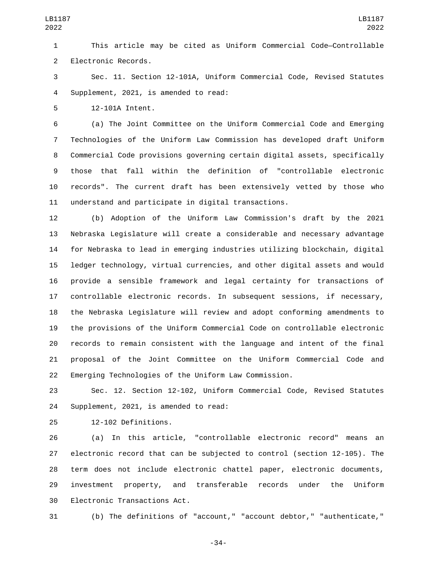This article may be cited as Uniform Commercial Code—Controllable 2 Electronic Records.

 Sec. 11. Section 12-101A, Uniform Commercial Code, Revised Statutes 4 Supplement, 2021, is amended to read:

5 12-101A Intent.

 (a) The Joint Committee on the Uniform Commercial Code and Emerging Technologies of the Uniform Law Commission has developed draft Uniform Commercial Code provisions governing certain digital assets, specifically those that fall within the definition of "controllable electronic records". The current draft has been extensively vetted by those who understand and participate in digital transactions.

 (b) Adoption of the Uniform Law Commission's draft by the 2021 Nebraska Legislature will create a considerable and necessary advantage for Nebraska to lead in emerging industries utilizing blockchain, digital ledger technology, virtual currencies, and other digital assets and would provide a sensible framework and legal certainty for transactions of controllable electronic records. In subsequent sessions, if necessary, the Nebraska Legislature will review and adopt conforming amendments to the provisions of the Uniform Commercial Code on controllable electronic records to remain consistent with the language and intent of the final proposal of the Joint Committee on the Uniform Commercial Code and Emerging Technologies of the Uniform Law Commission.

 Sec. 12. Section 12-102, Uniform Commercial Code, Revised Statutes 24 Supplement, 2021, is amended to read:

12-102 Definitions.25

 (a) In this article, "controllable electronic record" means an electronic record that can be subjected to control (section 12-105). The term does not include electronic chattel paper, electronic documents, investment property, and transferable records under the Uniform 30 Electronic Transactions Act.

(b) The definitions of "account," "account debtor," "authenticate,"

-34-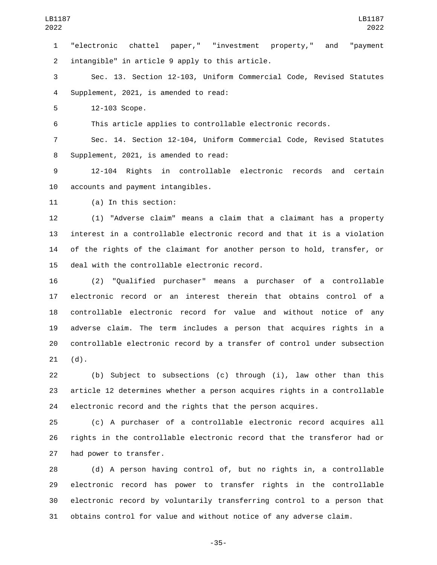"electronic chattel paper," "investment property," and "payment 2 intangible" in article 9 apply to this article.

 Sec. 13. Section 12-103, Uniform Commercial Code, Revised Statutes Supplement, 2021, is amended to read:4

5 12-103 Scope.

This article applies to controllable electronic records.

 Sec. 14. Section 12-104, Uniform Commercial Code, Revised Statutes 8 Supplement, 2021, is amended to read:

 12-104 Rights in controllable electronic records and certain 10 accounts and payment intangibles.

(a) In this section:11

 (1) "Adverse claim" means a claim that a claimant has a property interest in a controllable electronic record and that it is a violation of the rights of the claimant for another person to hold, transfer, or 15 deal with the controllable electronic record.

 (2) "Qualified purchaser" means a purchaser of a controllable electronic record or an interest therein that obtains control of a controllable electronic record for value and without notice of any adverse claim. The term includes a person that acquires rights in a controllable electronic record by a transfer of control under subsection (d).

 (b) Subject to subsections (c) through (i), law other than this article 12 determines whether a person acquires rights in a controllable electronic record and the rights that the person acquires.

 (c) A purchaser of a controllable electronic record acquires all rights in the controllable electronic record that the transferor had or 27 had power to transfer.

 (d) A person having control of, but no rights in, a controllable electronic record has power to transfer rights in the controllable electronic record by voluntarily transferring control to a person that obtains control for value and without notice of any adverse claim.

-35-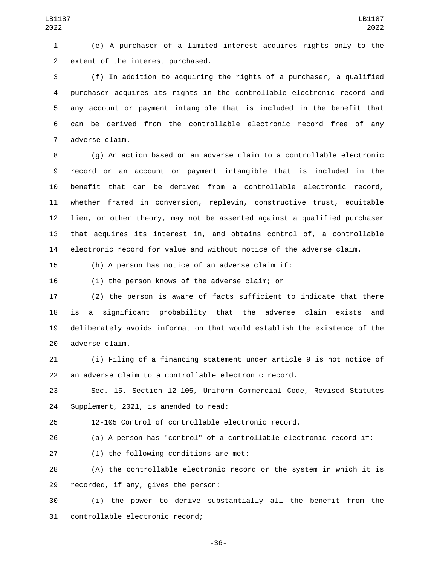(e) A purchaser of a limited interest acquires rights only to the 2 extent of the interest purchased.

 (f) In addition to acquiring the rights of a purchaser, a qualified purchaser acquires its rights in the controllable electronic record and any account or payment intangible that is included in the benefit that can be derived from the controllable electronic record free of any 7 adverse claim.

 (g) An action based on an adverse claim to a controllable electronic record or an account or payment intangible that is included in the benefit that can be derived from a controllable electronic record, whether framed in conversion, replevin, constructive trust, equitable lien, or other theory, may not be asserted against a qualified purchaser that acquires its interest in, and obtains control of, a controllable electronic record for value and without notice of the adverse claim.

(h) A person has notice of an adverse claim if:

(1) the person knows of the adverse claim; or

 (2) the person is aware of facts sufficient to indicate that there is a significant probability that the adverse claim exists and deliberately avoids information that would establish the existence of the 20 adverse claim.

 (i) Filing of a financing statement under article 9 is not notice of an adverse claim to a controllable electronic record.

 Sec. 15. Section 12-105, Uniform Commercial Code, Revised Statutes 24 Supplement, 2021, is amended to read:

12-105 Control of controllable electronic record.

(a) A person has "control" of a controllable electronic record if:

27 (1) the following conditions are met:

 (A) the controllable electronic record or the system in which it is 29 recorded, if any, gives the person:

 (i) the power to derive substantially all the benefit from the 31 controllable electronic record;

-36-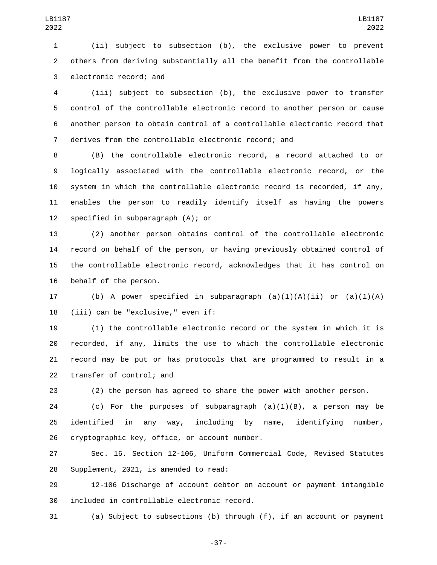(ii) subject to subsection (b), the exclusive power to prevent others from deriving substantially all the benefit from the controllable 3 electronic record; and

 (iii) subject to subsection (b), the exclusive power to transfer control of the controllable electronic record to another person or cause another person to obtain control of a controllable electronic record that derives from the controllable electronic record; and

 (B) the controllable electronic record, a record attached to or logically associated with the controllable electronic record, or the system in which the controllable electronic record is recorded, if any, enables the person to readily identify itself as having the powers 12 specified in subparagraph  $(A)$ ; or

 (2) another person obtains control of the controllable electronic record on behalf of the person, or having previously obtained control of the controllable electronic record, acknowledges that it has control on 16 behalf of the person.

17 (b) A power specified in subparagraph  $(a)(1)(A)(ii)$  or  $(a)(1)(A)$ 18 (iii) can be "exclusive," even if:

 (1) the controllable electronic record or the system in which it is recorded, if any, limits the use to which the controllable electronic record may be put or has protocols that are programmed to result in a 22 transfer of control; and

(2) the person has agreed to share the power with another person.

24 (c) For the purposes of subparagraph  $(a)(1)(B)$ , a person may be identified in any way, including by name, identifying number, 26 cryptographic key, office, or account number.

 Sec. 16. Section 12-106, Uniform Commercial Code, Revised Statutes 28 Supplement, 2021, is amended to read:

 12-106 Discharge of account debtor on account or payment intangible 30 included in controllable electronic record.

(a) Subject to subsections (b) through (f), if an account or payment

-37-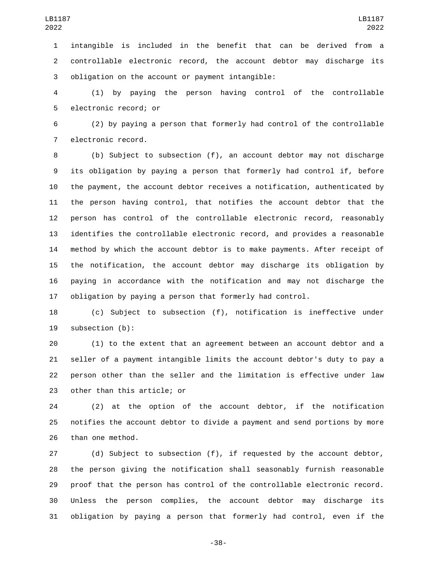intangible is included in the benefit that can be derived from a controllable electronic record, the account debtor may discharge its 3 obligation on the account or payment intangible:

 (1) by paying the person having control of the controllable 5 electronic record; or

 (2) by paying a person that formerly had control of the controllable 7 electronic record.

 (b) Subject to subsection (f), an account debtor may not discharge its obligation by paying a person that formerly had control if, before the payment, the account debtor receives a notification, authenticated by the person having control, that notifies the account debtor that the person has control of the controllable electronic record, reasonably identifies the controllable electronic record, and provides a reasonable method by which the account debtor is to make payments. After receipt of the notification, the account debtor may discharge its obligation by paying in accordance with the notification and may not discharge the obligation by paying a person that formerly had control.

 (c) Subject to subsection (f), notification is ineffective under 19 subsection (b):

 (1) to the extent that an agreement between an account debtor and a seller of a payment intangible limits the account debtor's duty to pay a person other than the seller and the limitation is effective under law 23 other than this article; or

 (2) at the option of the account debtor, if the notification notifies the account debtor to divide a payment and send portions by more 26 than one method.

 (d) Subject to subsection (f), if requested by the account debtor, the person giving the notification shall seasonably furnish reasonable proof that the person has control of the controllable electronic record. Unless the person complies, the account debtor may discharge its obligation by paying a person that formerly had control, even if the

-38-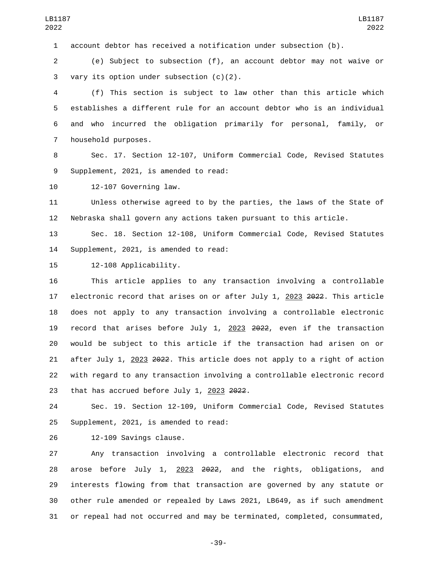account debtor has received a notification under subsection (b).

 (e) Subject to subsection (f), an account debtor may not waive or 3 vary its option under subsection  $(c)(2)$ .

 (f) This section is subject to law other than this article which establishes a different rule for an account debtor who is an individual and who incurred the obligation primarily for personal, family, or 7 household purposes.

 Sec. 17. Section 12-107, Uniform Commercial Code, Revised Statutes 9 Supplement, 2021, is amended to read:

10 12-107 Governing law.

 Unless otherwise agreed to by the parties, the laws of the State of Nebraska shall govern any actions taken pursuant to this article.

 Sec. 18. Section 12-108, Uniform Commercial Code, Revised Statutes 14 Supplement, 2021, is amended to read:

15 12-108 Applicability.

 This article applies to any transaction involving a controllable 17 electronic record that arises on or after July 1, 2023 2022. This article does not apply to any transaction involving a controllable electronic record that arises before July 1, 2023 2022, even if the transaction would be subject to this article if the transaction had arisen on or after July 1, 2023 2022. This article does not apply to a right of action with regard to any transaction involving a controllable electronic record 23 that has accrued before July 1, 2023 2022.

 Sec. 19. Section 12-109, Uniform Commercial Code, Revised Statutes 25 Supplement, 2021, is amended to read:

26 12-109 Savings clause.

 Any transaction involving a controllable electronic record that 28 arose before July 1, 2023 2<del>022</del>, and the rights, obligations, and interests flowing from that transaction are governed by any statute or other rule amended or repealed by Laws 2021, LB649, as if such amendment or repeal had not occurred and may be terminated, completed, consummated,

-39-